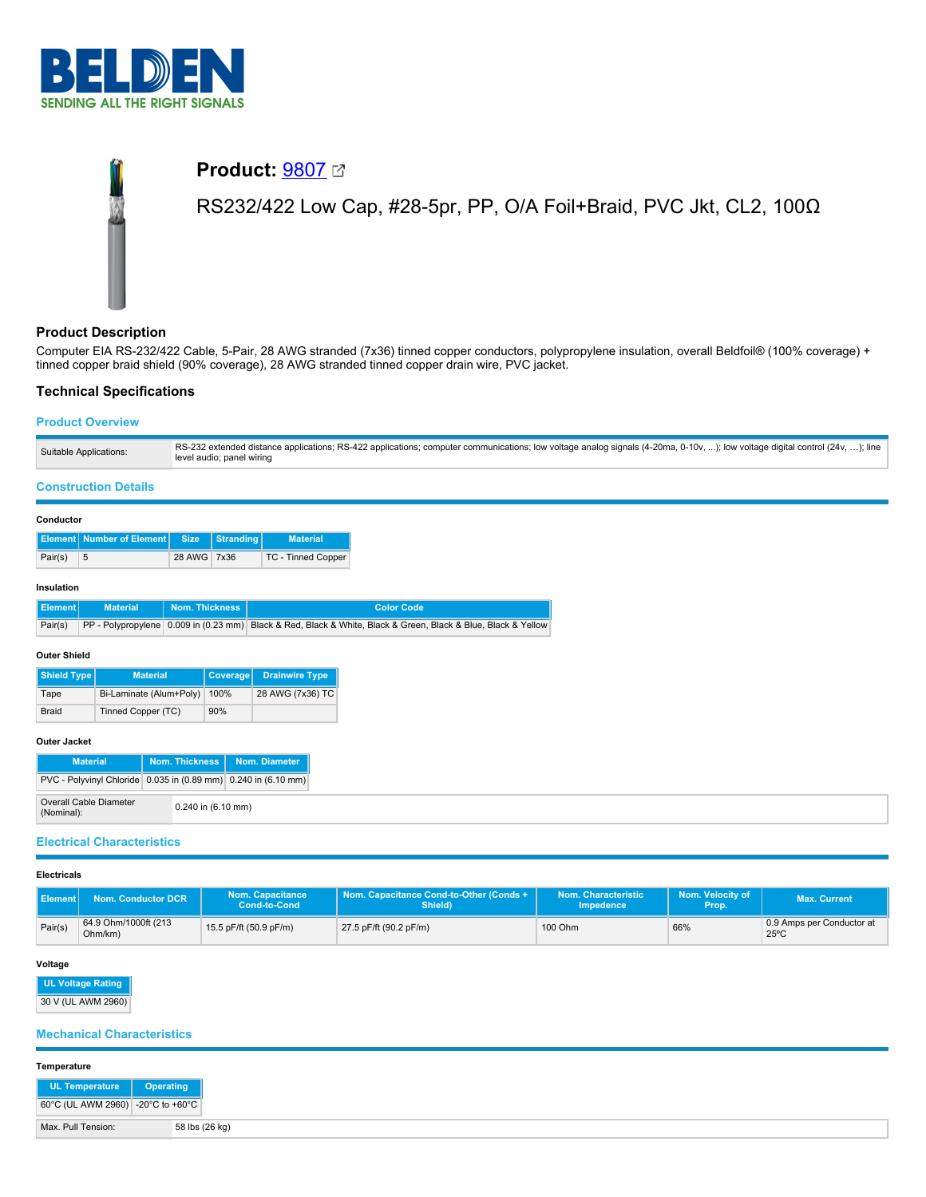

# **Product:** [9807](https://catalog.belden.com/index.cfm?event=pd&p=PF_9807&tab=downloads) RS232/422 Low Cap, #28-5pr, PP, O/A Foil+Braid, PVC Jkt, CL2, 100Ω

# **Product Description**

Computer EIA RS-232/422 Cable, 5-Pair, 28 AWG stranded (7x36) tinned copper conductors, polypropylene insulation, overall Beldfoil® (100% coverage) + tinned copper braid shield (90% coverage), 28 AWG stranded tinned copper drain wire, PVC jacket.

# **Technical Specifications**

# **Product Overview**

| RS-232 extended distance applications; RS-422 applications; computer communications; low voltage analog signals (4-20ma, 0-10v, ); low voltage digital control (24v, ); line<br>Suitable Applications:<br>level audio; panel wiring |  |
|-------------------------------------------------------------------------------------------------------------------------------------------------------------------------------------------------------------------------------------|--|
|-------------------------------------------------------------------------------------------------------------------------------------------------------------------------------------------------------------------------------------|--|

#### **Construction Details**

#### **Conductor**

|         | Element Number of Element Size Stranding |             | <b>Material</b>    |
|---------|------------------------------------------|-------------|--------------------|
| Pair(s) | -5                                       | 28 AWG 7x36 | TC - Tinned Copper |

#### **Insulation**

| Element | <b>Material</b> | Nom. Thickness I | <b>Color Code</b>                                                                                                     |
|---------|-----------------|------------------|-----------------------------------------------------------------------------------------------------------------------|
|         |                 |                  | Pair(s) PP - Polypropylene 0.009 in (0.23 mm) Black & Red, Black & White, Black & Green, Black & Blue, Black & Yellow |

#### **Outer Shield**

| <b>Shield Type</b> | <b>Material</b>         | Coverage | <b>Drainwire Type</b> |
|--------------------|-------------------------|----------|-----------------------|
| Tape               | Bi-Laminate (Alum+Poly) | 100%     | 28 AWG (7x36) TC      |
| <b>Braid</b>       | Tinned Copper (TC)      | 90%      |                       |

#### **Outer Jacket**

| <b>Material</b>                                                |  |                        | Nom. Thickness   Nom. Diameter |
|----------------------------------------------------------------|--|------------------------|--------------------------------|
| PVC - Polyvinyl Chloride 0.035 in (0.89 mm) 0.240 in (6.10 mm) |  |                        |                                |
| Overall Cable Diameter<br>(Nominal):                           |  | $0.240$ in $(6.10$ mm) |                                |

# **Electrical Characteristics**

#### **Electricals**

| ll Element l | <b>Nom. Conductor DCR</b>       | <b>Nom. Capacitance</b><br>Cond-to-Cond | Nom. Capacitance Cond-to-Other (Conds +<br>Shield) | Nom. Characteristic<br><b>Impedence</b> | Nom. Velocity of<br>Prop. | <b>Max. Current</b>                         |
|--------------|---------------------------------|-----------------------------------------|----------------------------------------------------|-----------------------------------------|---------------------------|---------------------------------------------|
| Pair(s)      | 64.9 Ohm/1000ft (213<br>Ohm/km) | 15.5 pF/ft (50.9 pF/m)                  | 27.5 pF/ft (90.2 pF/m)                             | 100 Ohm                                 | 66%                       | 0.9 Amps per Conductor at<br>$25^{\circ}$ C |

#### **Voltage**

| <b>UL Voltage Rating</b>        |
|---------------------------------|
| $30 \text{ V}$ (Film AMMA 2080) |

30 V (UL AWM 2960)

# **Mechanical Characteristics**

# **Temperature**

| <b>Temperature</b>                |                |
|-----------------------------------|----------------|
| UL Temperature   Operating        |                |
| 60°C (UL AWM 2960) -20°C to +60°C |                |
| Max. Pull Tension:                | 58 lbs (26 kg) |